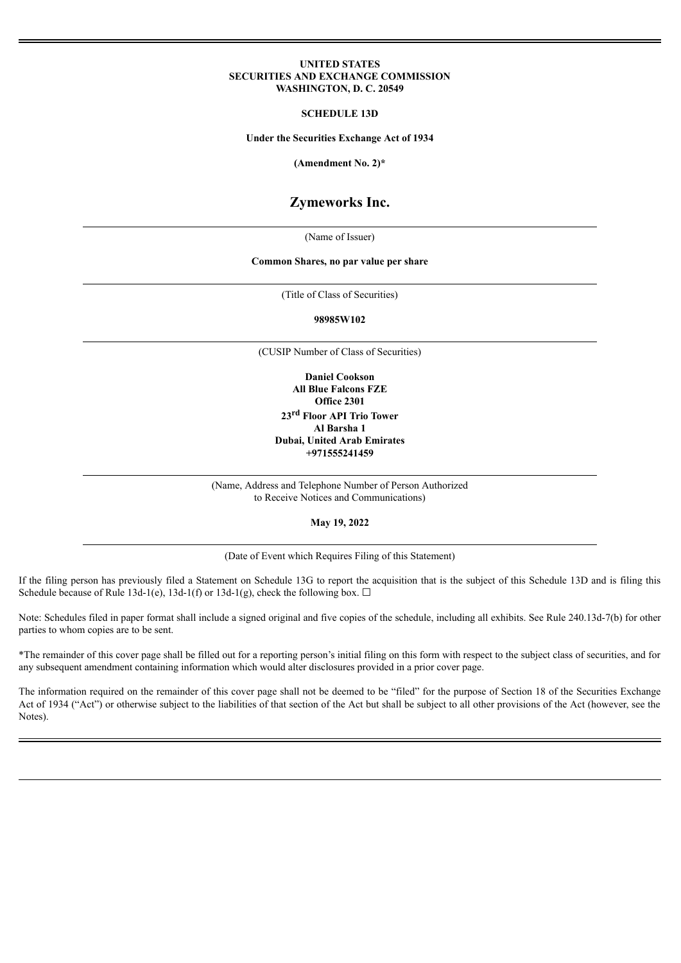#### **UNITED STATES SECURITIES AND EXCHANGE COMMISSION WASHINGTON, D. C. 20549**

#### **SCHEDULE 13D**

**Under the Securities Exchange Act of 1934**

**(Amendment No. 2)\***

# **Zymeworks Inc.**

(Name of Issuer)

#### **Common Shares, no par value per share**

(Title of Class of Securities)

**98985W102**

(CUSIP Number of Class of Securities)

**Daniel Cookson All Blue Falcons FZE Office 2301 23 rd Floor API Trio Tower Al Barsha 1 Dubai, United Arab Emirates +971555241459**

(Name, Address and Telephone Number of Person Authorized to Receive Notices and Communications)

**May 19, 2022**

(Date of Event which Requires Filing of this Statement)

If the filing person has previously filed a Statement on Schedule 13G to report the acquisition that is the subject of this Schedule 13D and is filing this Schedule because of Rule 13d-1(e), 13d-1(f) or 13d-1(g), check the following box.  $\Box$ 

Note: Schedules filed in paper format shall include a signed original and five copies of the schedule, including all exhibits. See Rule 240.13d-7(b) for other parties to whom copies are to be sent.

\*The remainder of this cover page shall be filled out for a reporting person's initial filing on this form with respect to the subject class of securities, and for any subsequent amendment containing information which would alter disclosures provided in a prior cover page.

The information required on the remainder of this cover page shall not be deemed to be "filed" for the purpose of Section 18 of the Securities Exchange Act of 1934 ("Act") or otherwise subject to the liabilities of that section of the Act but shall be subject to all other provisions of the Act (however, see the Notes).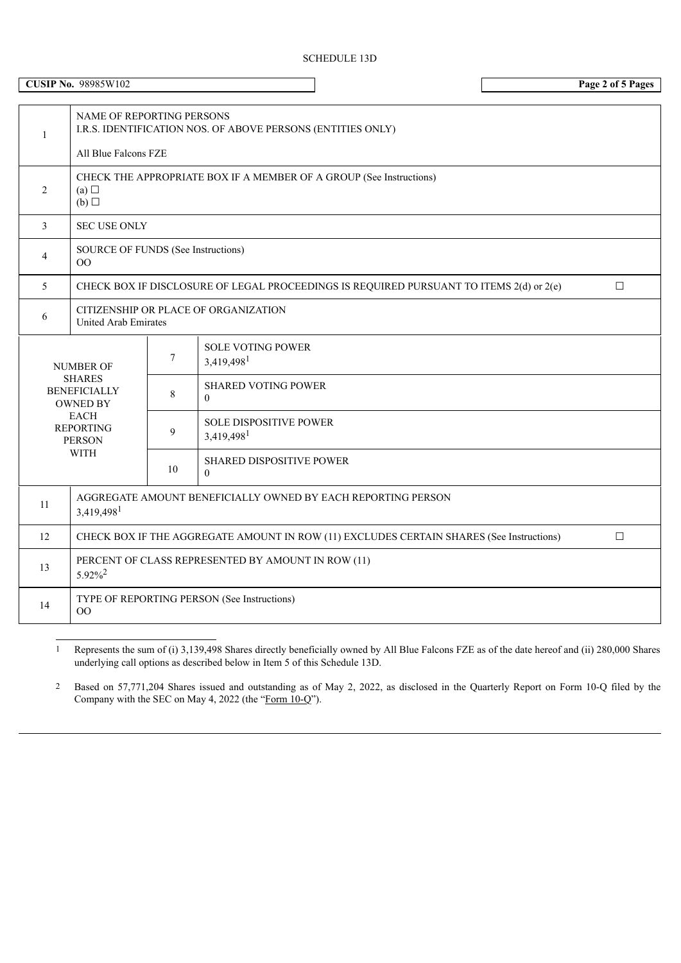| <b>CUSIP No. 98985W102</b>                              |                                                                                                                  |        |                                                    |  |  |  |
|---------------------------------------------------------|------------------------------------------------------------------------------------------------------------------|--------|----------------------------------------------------|--|--|--|
| $\mathbf{1}$                                            | NAME OF REPORTING PERSONS<br>I.R.S. IDENTIFICATION NOS. OF ABOVE PERSONS (ENTITIES ONLY)<br>All Blue Falcons FZE |        |                                                    |  |  |  |
| 2                                                       | CHECK THE APPROPRIATE BOX IF A MEMBER OF A GROUP (See Instructions)<br>(a)<br>(b)                                |        |                                                    |  |  |  |
| 3                                                       | <b>SEC USE ONLY</b>                                                                                              |        |                                                    |  |  |  |
| 4                                                       | SOURCE OF FUNDS (See Instructions)<br>00                                                                         |        |                                                    |  |  |  |
| 5                                                       | CHECK BOX IF DISCLOSURE OF LEGAL PROCEEDINGS IS REQUIRED PURSUANT TO ITEMS 2(d) or 2(e)<br>$\Box$                |        |                                                    |  |  |  |
| 6                                                       | CITIZENSHIP OR PLACE OF ORGANIZATION<br><b>United Arab Emirates</b>                                              |        |                                                    |  |  |  |
|                                                         | <b>NUMBER OF</b>                                                                                                 | $\tau$ | <b>SOLE VOTING POWER</b><br>3,419,498 <sup>1</sup> |  |  |  |
| <b>SHARES</b><br><b>BENEFICIALLY</b><br><b>OWNED BY</b> |                                                                                                                  | 8      | <b>SHARED VOTING POWER</b><br>$\Omega$             |  |  |  |
|                                                         | <b>EACH</b><br><b>REPORTING</b><br><b>PERSON</b>                                                                 | 9      | SOLE DISPOSITIVE POWER<br>3,419,498                |  |  |  |
| <b>WITH</b>                                             |                                                                                                                  | 10     | <b>SHARED DISPOSITIVE POWER</b><br>$\Omega$        |  |  |  |
| 11                                                      | AGGREGATE AMOUNT BENEFICIALLY OWNED BY EACH REPORTING PERSON<br>3,419,498 <sup>1</sup>                           |        |                                                    |  |  |  |
| 12                                                      | CHECK BOX IF THE AGGREGATE AMOUNT IN ROW (11) EXCLUDES CERTAIN SHARES (See Instructions)<br>$\Box$               |        |                                                    |  |  |  |
| 13                                                      | PERCENT OF CLASS REPRESENTED BY AMOUNT IN ROW (11)<br>$5.92\%^{2}$                                               |        |                                                    |  |  |  |
| 14                                                      | TYPE OF REPORTING PERSON (See Instructions)<br>$\overline{O}O$                                                   |        |                                                    |  |  |  |

1 Represents the sum of (i) 3,139,498 Shares directly beneficially owned by All Blue Falcons FZE as of the date hereof and (ii) 280,000 Shares underlying call options as described below in Item 5 of this Schedule 13D.

2 Based on 57,771,204 Shares issued and outstanding as of May 2, 2022, as disclosed in the Quarterly Report on Form 10-Q filed by the Company with the SEC on May 4, 2022 (the "Form 10-Q").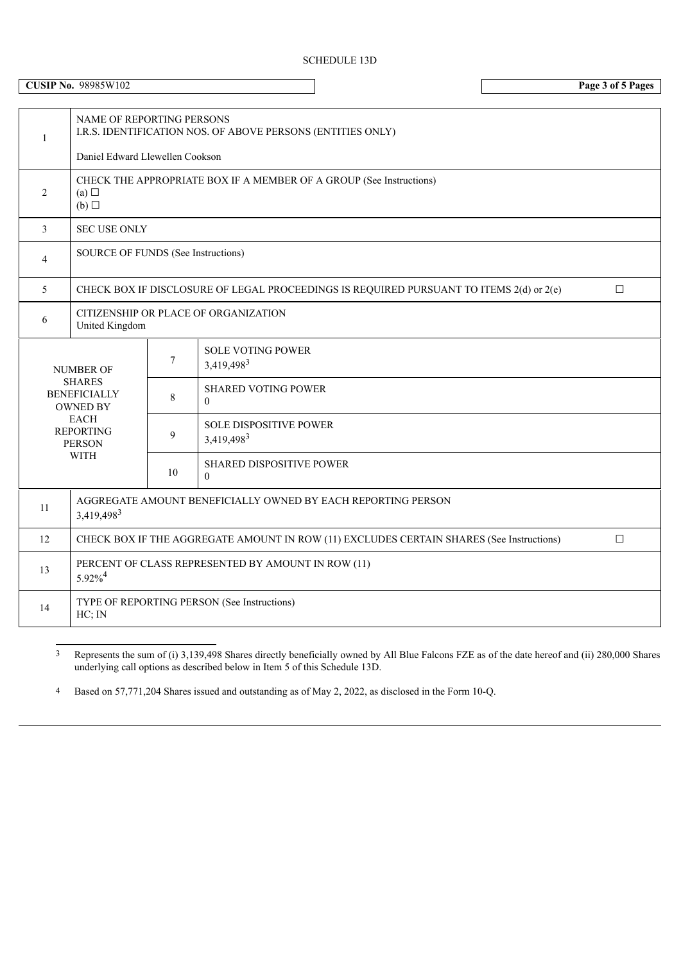# SCHEDULE 13D

**CUSIP No.** 98985W102 **Page 3 of 5 Pages**

| 1                                                                                                                                       | <b>NAME OF REPORTING PERSONS</b><br>I.R.S. IDENTIFICATION NOS. OF ABOVE PERSONS (ENTITIES ONLY)    |                |                                             |  |  |  |
|-----------------------------------------------------------------------------------------------------------------------------------------|----------------------------------------------------------------------------------------------------|----------------|---------------------------------------------|--|--|--|
|                                                                                                                                         | Daniel Edward Llewellen Cookson                                                                    |                |                                             |  |  |  |
| 2                                                                                                                                       | CHECK THE APPROPRIATE BOX IF A MEMBER OF A GROUP (See Instructions)<br>(a)<br>(b)                  |                |                                             |  |  |  |
| 3                                                                                                                                       | <b>SEC USE ONLY</b>                                                                                |                |                                             |  |  |  |
| 4                                                                                                                                       | SOURCE OF FUNDS (See Instructions)                                                                 |                |                                             |  |  |  |
| 5                                                                                                                                       | CHECK BOX IF DISCLOSURE OF LEGAL PROCEEDINGS IS REQUIRED PURSUANT TO ITEMS 2(d) or 2(e)<br>$\Box$  |                |                                             |  |  |  |
| 6                                                                                                                                       | CITIZENSHIP OR PLACE OF ORGANIZATION<br>United Kingdom                                             |                |                                             |  |  |  |
| <b>NUMBER OF</b><br><b>SHARES</b><br><b>BENEFICIALLY</b><br><b>OWNED BY</b><br>EACH<br><b>REPORTING</b><br><b>PERSON</b><br><b>WITH</b> |                                                                                                    | $\overline{7}$ | <b>SOLE VOTING POWER</b><br>3,419,4983      |  |  |  |
|                                                                                                                                         |                                                                                                    | 8              | <b>SHARED VOTING POWER</b><br>$\Omega$      |  |  |  |
|                                                                                                                                         |                                                                                                    | 9              | <b>SOLE DISPOSITIVE POWER</b><br>3,419,4983 |  |  |  |
|                                                                                                                                         |                                                                                                    | 10             | SHARED DISPOSITIVE POWER<br>$\Omega$        |  |  |  |
| 11                                                                                                                                      | AGGREGATE AMOUNT BENEFICIALLY OWNED BY EACH REPORTING PERSON<br>3,419,4983                         |                |                                             |  |  |  |
| 12                                                                                                                                      | CHECK BOX IF THE AGGREGATE AMOUNT IN ROW (11) EXCLUDES CERTAIN SHARES (See Instructions)<br>$\Box$ |                |                                             |  |  |  |
| 13                                                                                                                                      | PERCENT OF CLASS REPRESENTED BY AMOUNT IN ROW (11)<br>$5.92\%$ <sup>4</sup>                        |                |                                             |  |  |  |
| 14                                                                                                                                      | TYPE OF REPORTING PERSON (See Instructions)<br>HC; IN                                              |                |                                             |  |  |  |

3 Represents the sum of (i) 3,139,498 Shares directly beneficially owned by All Blue Falcons FZE as of the date hereof and (ii) 280,000 Shares underlying call options as described below in Item 5 of this Schedule 13D.

4 Based on 57,771,204 Shares issued and outstanding as of May 2, 2022, as disclosed in the Form 10-Q.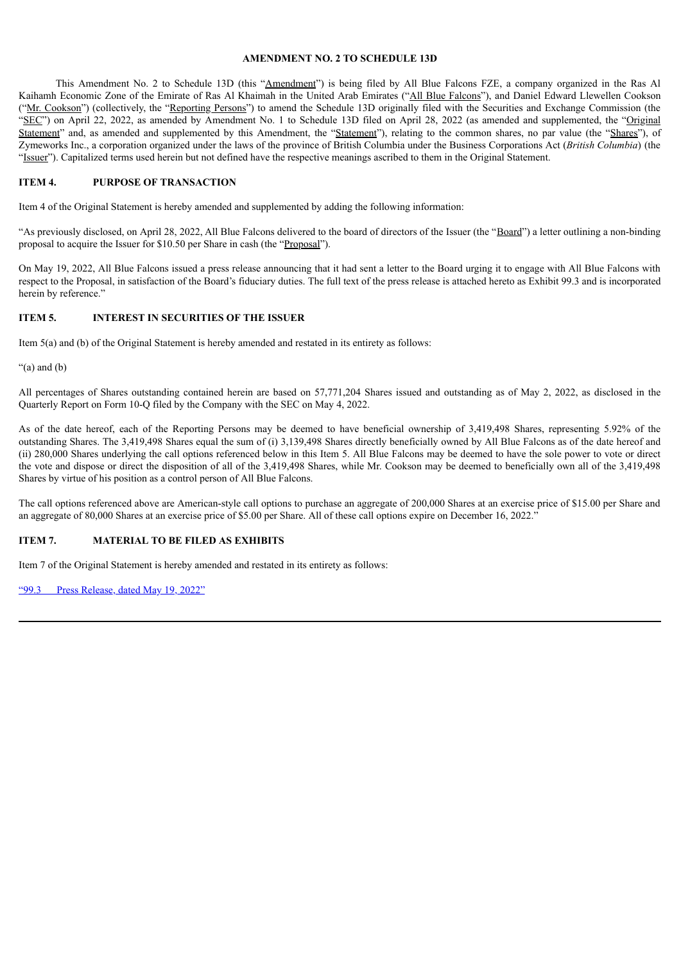### **AMENDMENT NO. 2 TO SCHEDULE 13D**

This Amendment No. 2 to Schedule 13D (this "Amendment") is being filed by All Blue Falcons FZE, a company organized in the Ras Al Kaihamh Economic Zone of the Emirate of Ras Al Khaimah in the United Arab Emirates ("All Blue Falcons"), and Daniel Edward Llewellen Cookson ("Mr. Cookson") (collectively, the "Reporting Persons") to amend the Schedule 13D originally filed with the Securities and Exchange Commission (the "SEC") on April 22, 2022, as amended by Amendment No. 1 to Schedule 13D filed on April 28, 2022 (as amended and supplemented, the "Original" Statement" and, as amended and supplemented by this Amendment, the "Statement"), relating to the common shares, no par value (the "Shares"), of Zymeworks Inc., a corporation organized under the laws of the province of British Columbia under the Business Corporations Act (*British Columbia*) (the "Issuer"). Capitalized terms used herein but not defined have the respective meanings ascribed to them in the Original Statement.

### **ITEM 4. PURPOSE OF TRANSACTION**

Item 4 of the Original Statement is hereby amended and supplemented by adding the following information:

"As previously disclosed, on April 28, 2022, All Blue Falcons delivered to the board of directors of the Issuer (the "Board") a letter outlining a non-binding proposal to acquire the Issuer for \$10.50 per Share in cash (the "Proposal").

On May 19, 2022, All Blue Falcons issued a press release announcing that it had sent a letter to the Board urging it to engage with All Blue Falcons with respect to the Proposal, in satisfaction of the Board's fiduciary duties. The full text of the press release is attached hereto as Exhibit 99.3 and is incorporated herein by reference."

## **ITEM 5. INTEREST IN SECURITIES OF THE ISSUER**

Item 5(a) and (b) of the Original Statement is hereby amended and restated in its entirety as follows:

 $"$ (a) and (b)

All percentages of Shares outstanding contained herein are based on 57,771,204 Shares issued and outstanding as of May 2, 2022, as disclosed in the Quarterly Report on Form 10-Q filed by the Company with the SEC on May 4, 2022.

As of the date hereof, each of the Reporting Persons may be deemed to have beneficial ownership of 3,419,498 Shares, representing 5.92% of the outstanding Shares. The 3,419,498 Shares equal the sum of (i) 3,139,498 Shares directly beneficially owned by All Blue Falcons as of the date hereof and (ii) 280,000 Shares underlying the call options referenced below in this Item 5. All Blue Falcons may be deemed to have the sole power to vote or direct the vote and dispose or direct the disposition of all of the 3,419,498 Shares, while Mr. Cookson may be deemed to beneficially own all of the 3,419,498 Shares by virtue of his position as a control person of All Blue Falcons.

The call options referenced above are American-style call options to purchase an aggregate of 200,000 Shares at an exercise price of \$15.00 per Share and an aggregate of 80,000 Shares at an exercise price of \$5.00 per Share. All of these call options expire on December 16, 2022."

### **ITEM 7. MATERIAL TO BE FILED AS EXHIBITS**

Item 7 of the Original Statement is hereby amended and restated in its entirety as follows:

"99.3 Press [Release,](#page-5-0) dated May 19, 2022"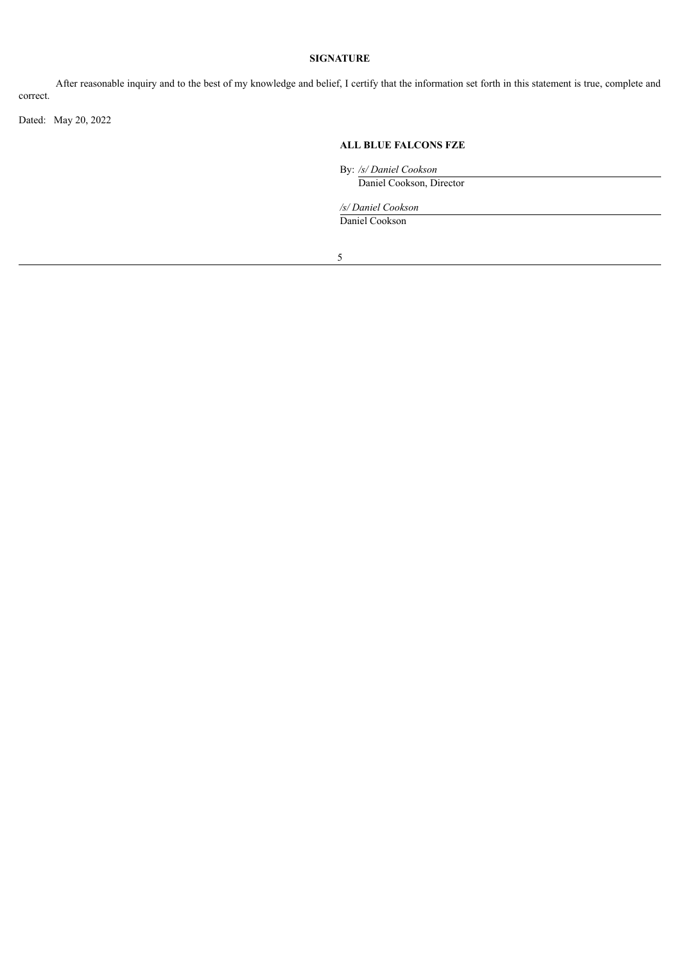## **SIGNATURE**

After reasonable inquiry and to the best of my knowledge and belief, I certify that the information set forth in this statement is true, complete and correct.

Dated: May 20, 2022

## **ALL BLUE FALCONS FZE**

By: */s/ Daniel Cookson*

Daniel Cookson, Director

*/s/ Daniel Cookson*

Daniel Cookson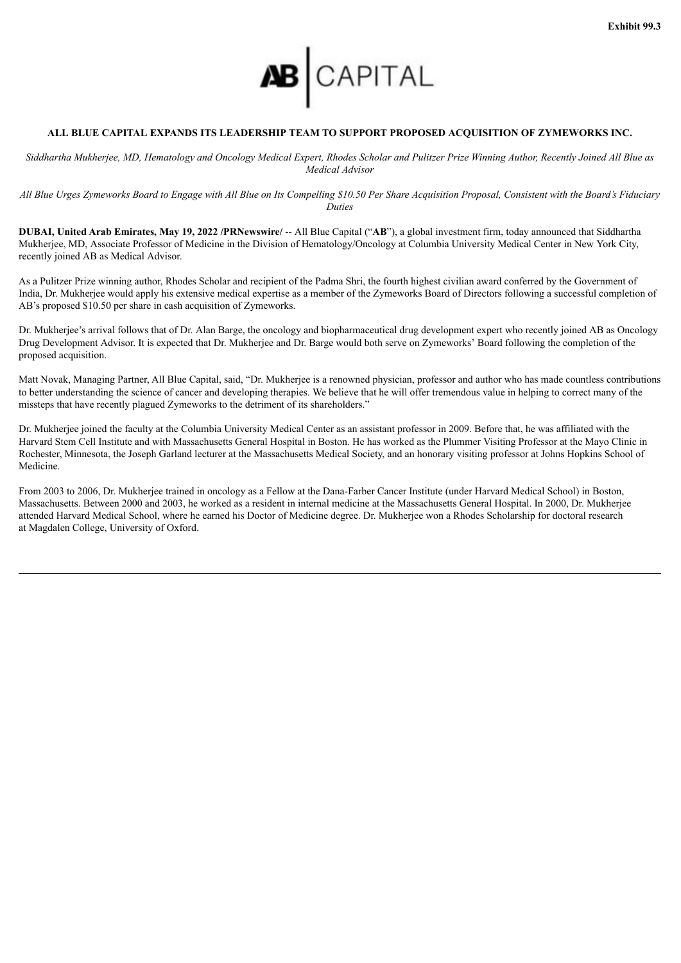

### <span id="page-5-0"></span>**ALL BLUE CAPITAL EXPANDS ITS LEADERSHIP TEAM TO SUPPORT PROPOSED ACQUISITION OF ZYMEWORKS INC.**

Siddhartha Mukherjee, MD, Hematology and Oncology Medical Expert, Rhodes Scholar and Pulitzer Prize Winning Author, Recently Joined All Blue as *Medical Advisor*

All Blue Urges Zymeworks Board to Engage with All Blue on Its Compelling \$10.50 Per Share Acquisition Proposal, Consistent with the Board's Fiduciary *Duties*

**DUBAI, United Arab Emirates, May 19, 2022 /PRNewswire/** -- All Blue Capital ("**AB**"), a global investment firm, today announced that Siddhartha Mukherjee, MD, Associate Professor of Medicine in the Division of Hematology/Oncology at Columbia University Medical Center in New York City, recently joined AB as Medical Advisor.

As a Pulitzer Prize winning author, Rhodes Scholar and recipient of the Padma Shri, the fourth highest civilian award conferred by the Government of India, Dr. Mukherjee would apply his extensive medical expertise as a member of the Zymeworks Board of Directors following a successful completion of AB's proposed \$10.50 per share in cash acquisition of Zymeworks.

Dr. Mukherjee's arrival follows that of Dr. Alan Barge, the oncology and biopharmaceutical drug development expert who recently joined AB as Oncology Drug Development Advisor. It is expected that Dr. Mukherjee and Dr. Barge would both serve on Zymeworks' Board following the completion of the proposed acquisition.

Matt Novak, Managing Partner, All Blue Capital, said, "Dr. Mukherjee is a renowned physician, professor and author who has made countless contributions to better understanding the science of cancer and developing therapies. We believe that he will offer tremendous value in helping to correct many of the missteps that have recently plagued Zymeworks to the detriment of its shareholders."

Dr. Mukherjee joined the faculty at the Columbia University Medical Center as an assistant professor in 2009. Before that, he was affiliated with the Harvard Stem Cell Institute and with Massachusetts General Hospital in Boston. He has worked as the Plummer Visiting Professor at the Mayo Clinic in Rochester, Minnesota, the Joseph Garland lecturer at the Massachusetts Medical Society, and an honorary visiting professor at Johns Hopkins School of Medicine.

From 2003 to 2006, Dr. Mukherjee trained in oncology as a Fellow at the Dana-Farber Cancer Institute (under Harvard Medical School) in Boston, Massachusetts. Between 2000 and 2003, he worked as a resident in internal medicine at the Massachusetts General Hospital. In 2000, Dr. Mukherjee attended Harvard Medical School, where he earned his Doctor of Medicine degree. Dr. Mukherjee won a Rhodes Scholarship for doctoral research at Magdalen College, University of Oxford.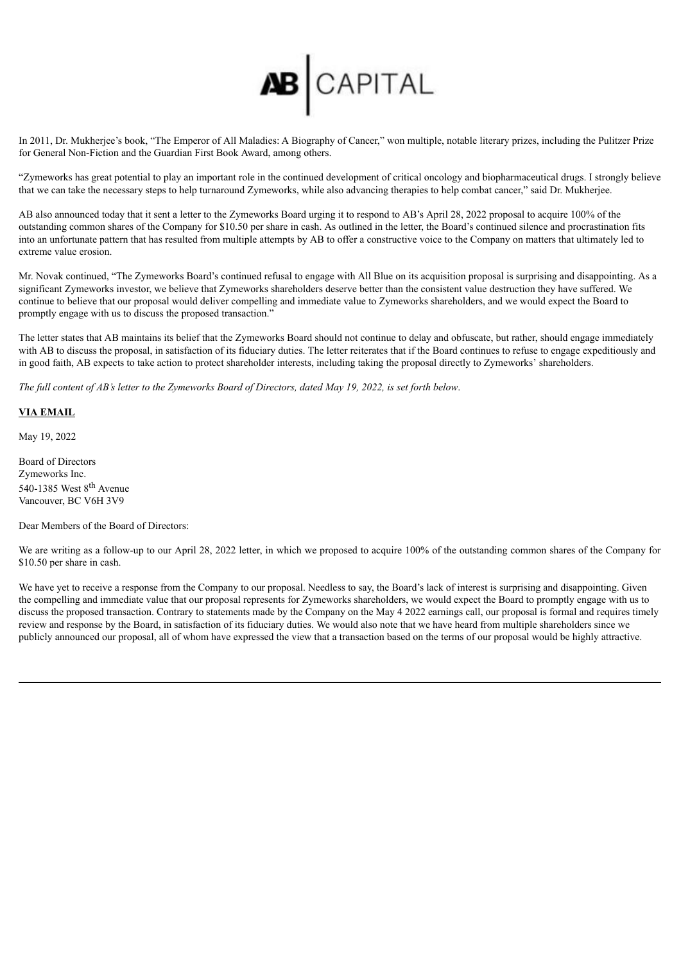

In 2011, Dr. Mukherjee's book, "The Emperor of All Maladies: A Biography of Cancer," won multiple, notable literary prizes, including the Pulitzer Prize for General Non-Fiction and the Guardian First Book Award, among others.

"Zymeworks has great potential to play an important role in the continued development of critical oncology and biopharmaceutical drugs. I strongly believe that we can take the necessary steps to help turnaround Zymeworks, while also advancing therapies to help combat cancer," said Dr. Mukherjee.

AB also announced today that it sent a letter to the Zymeworks Board urging it to respond to AB's April 28, 2022 proposal to acquire 100% of the outstanding common shares of the Company for \$10.50 per share in cash. As outlined in the letter, the Board's continued silence and procrastination fits into an unfortunate pattern that has resulted from multiple attempts by AB to offer a constructive voice to the Company on matters that ultimately led to extreme value erosion.

Mr. Novak continued, "The Zymeworks Board's continued refusal to engage with All Blue on its acquisition proposal is surprising and disappointing. As a significant Zymeworks investor, we believe that Zymeworks shareholders deserve better than the consistent value destruction they have suffered. We continue to believe that our proposal would deliver compelling and immediate value to Zymeworks shareholders, and we would expect the Board to promptly engage with us to discuss the proposed transaction."

The letter states that AB maintains its belief that the Zymeworks Board should not continue to delay and obfuscate, but rather, should engage immediately with AB to discuss the proposal, in satisfaction of its fiduciary duties. The letter reiterates that if the Board continues to refuse to engage expeditiously and in good faith, AB expects to take action to protect shareholder interests, including taking the proposal directly to Zymeworks' shareholders.

The full content of AB's letter to the Zymeworks Board of Directors, dated May 19, 2022, is set forth below.

## **VIA EMAIL**

May 19, 2022

Board of Directors Zymeworks Inc. 540-1385 West 8<sup>th</sup> Avenue Vancouver, BC V6H 3V9

Dear Members of the Board of Directors:

We are writing as a follow-up to our April 28, 2022 letter, in which we proposed to acquire 100% of the outstanding common shares of the Company for \$10.50 per share in cash.

We have yet to receive a response from the Company to our proposal. Needless to say, the Board's lack of interest is surprising and disappointing. Given the compelling and immediate value that our proposal represents for Zymeworks shareholders, we would expect the Board to promptly engage with us to discuss the proposed transaction. Contrary to statements made by the Company on the May 4 2022 earnings call, our proposal is formal and requires timely review and response by the Board, in satisfaction of its fiduciary duties. We would also note that we have heard from multiple shareholders since we publicly announced our proposal, all of whom have expressed the view that a transaction based on the terms of our proposal would be highly attractive.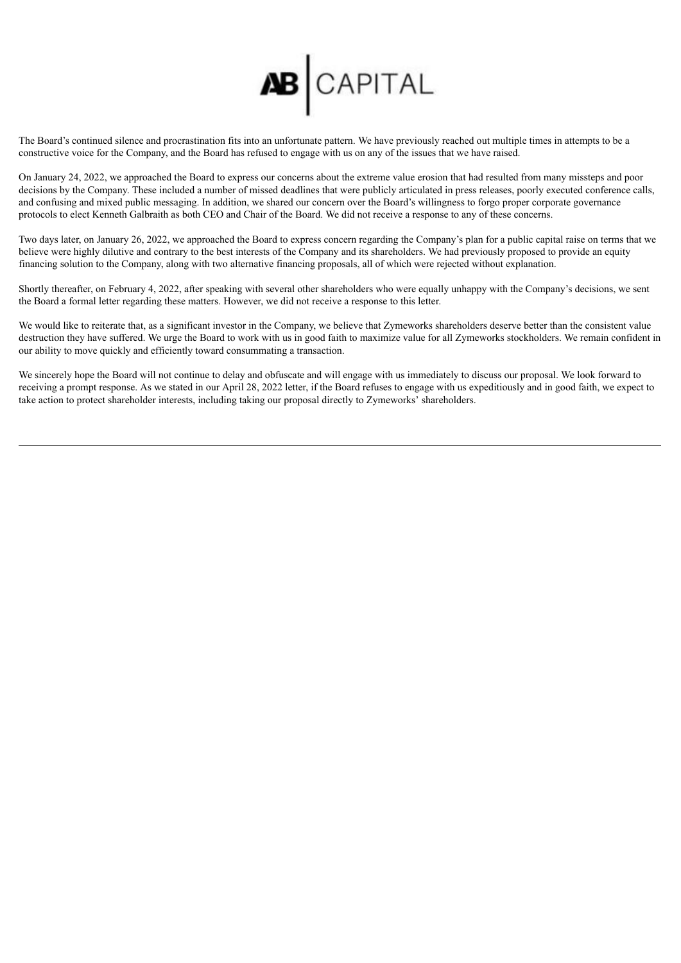

The Board's continued silence and procrastination fits into an unfortunate pattern. We have previously reached out multiple times in attempts to be a constructive voice for the Company, and the Board has refused to engage with us on any of the issues that we have raised.

On January 24, 2022, we approached the Board to express our concerns about the extreme value erosion that had resulted from many missteps and poor decisions by the Company. These included a number of missed deadlines that were publicly articulated in press releases, poorly executed conference calls, and confusing and mixed public messaging. In addition, we shared our concern over the Board's willingness to forgo proper corporate governance protocols to elect Kenneth Galbraith as both CEO and Chair of the Board. We did not receive a response to any of these concerns.

Two days later, on January 26, 2022, we approached the Board to express concern regarding the Company's plan for a public capital raise on terms that we believe were highly dilutive and contrary to the best interests of the Company and its shareholders. We had previously proposed to provide an equity financing solution to the Company, along with two alternative financing proposals, all of which were rejected without explanation.

Shortly thereafter, on February 4, 2022, after speaking with several other shareholders who were equally unhappy with the Company's decisions, we sent the Board a formal letter regarding these matters. However, we did not receive a response to this letter.

We would like to reiterate that, as a significant investor in the Company, we believe that Zymeworks shareholders deserve better than the consistent value destruction they have suffered. We urge the Board to work with us in good faith to maximize value for all Zymeworks stockholders. We remain confident in our ability to move quickly and efficiently toward consummating a transaction.

We sincerely hope the Board will not continue to delay and obfuscate and will engage with us immediately to discuss our proposal. We look forward to receiving a prompt response. As we stated in our April 28, 2022 letter, if the Board refuses to engage with us expeditiously and in good faith, we expect to take action to protect shareholder interests, including taking our proposal directly to Zymeworks' shareholders.